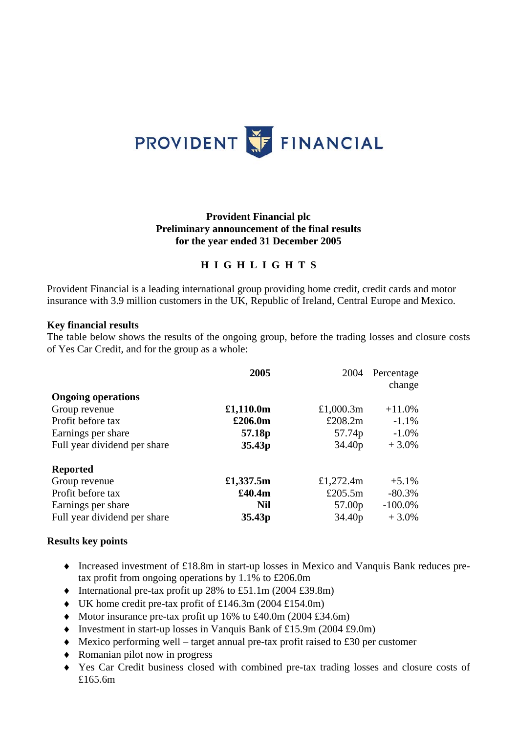

## **Provident Financial plc Preliminary announcement of the final results for the year ended 31 December 2005**

## **H I G H L I G H T S**

Provident Financial is a leading international group providing home credit, credit cards and motor insurance with 3.9 million customers in the UK, Republic of Ireland, Central Europe and Mexico.

#### **Key financial results**

The table below shows the results of the ongoing group, before the trading losses and closure costs of Yes Car Credit, and for the group as a whole:

|                              | 2005               | 2004               | Percentage<br>change |
|------------------------------|--------------------|--------------------|----------------------|
| <b>Ongoing operations</b>    |                    |                    |                      |
| Group revenue                | £1,110.0m          | £1,000.3m          | $+11.0\%$            |
| Profit before tax            | £206.0m            | £208.2 $m$         | $-1.1%$              |
| Earnings per share           | 57.18 <sub>p</sub> | 57.74p             | $-1.0\%$             |
| Full year dividend per share | 35.43p             | 34.40 <sub>p</sub> | $+3.0\%$             |
| <b>Reported</b>              |                    |                    |                      |
| Group revenue                | £1,337.5m          | £1,272.4m          | $+5.1\%$             |
| Profit before tax            | £40.4m             | £205.5 $m$         | $-80.3\%$            |
| Earnings per share           | <b>Nil</b>         | 57.00 <sub>p</sub> | $-100.0\%$           |
| Full year dividend per share | 35.43 <sub>p</sub> | 34.40 <sub>p</sub> | $+3.0\%$             |

### **Results key points**

- ♦ Increased investment of £18.8m in start-up losses in Mexico and Vanquis Bank reduces pretax profit from ongoing operations by 1.1% to £206.0m
- $\blacklozenge$  International pre-tax profit up 28% to £51.1m (2004 £39.8m)
- ♦ UK home credit pre-tax profit of £146.3m (2004 £154.0m)
- ♦ Motor insurance pre-tax profit up 16% to £40.0m (2004 £34.6m)
- ♦ Investment in start-up losses in Vanquis Bank of £15.9m (2004 £9.0m)
- $\blacklozenge$  Mexico performing well target annual pre-tax profit raised to £30 per customer
- ♦ Romanian pilot now in progress
- ♦ Yes Car Credit business closed with combined pre-tax trading losses and closure costs of £165.6m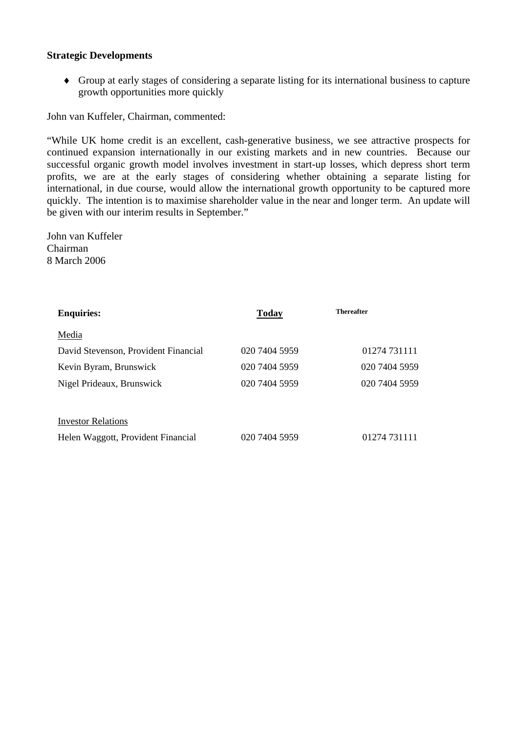### **Strategic Developments**

♦ Group at early stages of considering a separate listing for its international business to capture growth opportunities more quickly

John van Kuffeler, Chairman, commented:

"While UK home credit is an excellent, cash-generative business, we see attractive prospects for continued expansion internationally in our existing markets and in new countries. Because our successful organic growth model involves investment in start-up losses, which depress short term profits, we are at the early stages of considering whether obtaining a separate listing for international, in due course, would allow the international growth opportunity to be captured more quickly. The intention is to maximise shareholder value in the near and longer term. An update will be given with our interim results in September."

John van Kuffeler Chairman 8 March 2006

| <b>Enquiries:</b>                    | <b>Today</b>  | <b>Thereafter</b> |
|--------------------------------------|---------------|-------------------|
| Media                                |               |                   |
| David Stevenson, Provident Financial | 020 7404 5959 | 01274 731111      |
| Kevin Byram, Brunswick               | 020 7404 5959 | 020 7404 5959     |
| Nigel Prideaux, Brunswick            | 020 7404 5959 | 020 7404 5959     |
|                                      |               |                   |
| <b>Investor Relations</b>            |               |                   |
| Helen Waggott, Provident Financial   | 020 7404 5959 | 01274 731111      |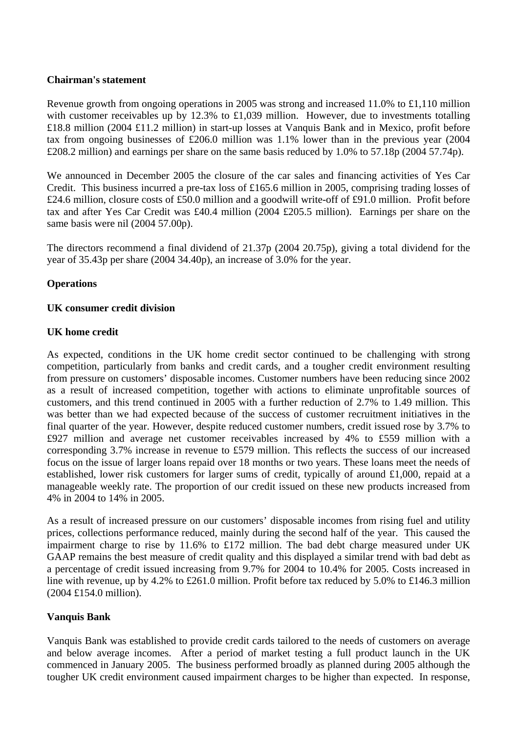### **Chairman's statement**

Revenue growth from ongoing operations in 2005 was strong and increased 11.0% to £1,110 million with customer receivables up by 12.3% to £1,039 million. However, due to investments totalling £18.8 million (2004 £11.2 million) in start-up losses at Vanquis Bank and in Mexico, profit before tax from ongoing businesses of £206.0 million was 1.1% lower than in the previous year (2004 £208.2 million) and earnings per share on the same basis reduced by 1.0% to 57.18p (2004 57.74p).

We announced in December 2005 the closure of the car sales and financing activities of Yes Car Credit. This business incurred a pre-tax loss of £165.6 million in 2005, comprising trading losses of £24.6 million, closure costs of £50.0 million and a goodwill write-off of £91.0 million. Profit before tax and after Yes Car Credit was £40.4 million (2004 £205.5 million). Earnings per share on the same basis were nil (2004 57.00p).

The directors recommend a final dividend of 21.37p (2004 20.75p), giving a total dividend for the year of 35.43p per share (2004 34.40p), an increase of 3.0% for the year.

## **Operations**

### **UK consumer credit division**

### **UK home credit**

As expected, conditions in the UK home credit sector continued to be challenging with strong competition, particularly from banks and credit cards, and a tougher credit environment resulting from pressure on customers' disposable incomes. Customer numbers have been reducing since 2002 as a result of increased competition, together with actions to eliminate unprofitable sources of customers, and this trend continued in 2005 with a further reduction of 2.7% to 1.49 million. This was better than we had expected because of the success of customer recruitment initiatives in the final quarter of the year. However, despite reduced customer numbers, credit issued rose by 3.7% to £927 million and average net customer receivables increased by 4% to £559 million with a corresponding 3.7% increase in revenue to £579 million. This reflects the success of our increased focus on the issue of larger loans repaid over 18 months or two years. These loans meet the needs of established, lower risk customers for larger sums of credit, typically of around £1,000, repaid at a manageable weekly rate. The proportion of our credit issued on these new products increased from 4% in 2004 to 14% in 2005.

As a result of increased pressure on our customers' disposable incomes from rising fuel and utility prices, collections performance reduced, mainly during the second half of the year. This caused the impairment charge to rise by 11.6% to £172 million. The bad debt charge measured under UK GAAP remains the best measure of credit quality and this displayed a similar trend with bad debt as a percentage of credit issued increasing from 9.7% for 2004 to 10.4% for 2005. Costs increased in line with revenue, up by 4.2% to £261.0 million. Profit before tax reduced by 5.0% to £146.3 million (2004 £154.0 million).

## **Vanquis Bank**

Vanquis Bank was established to provide credit cards tailored to the needs of customers on average and below average incomes. After a period of market testing a full product launch in the UK commenced in January 2005. The business performed broadly as planned during 2005 although the tougher UK credit environment caused impairment charges to be higher than expected. In response,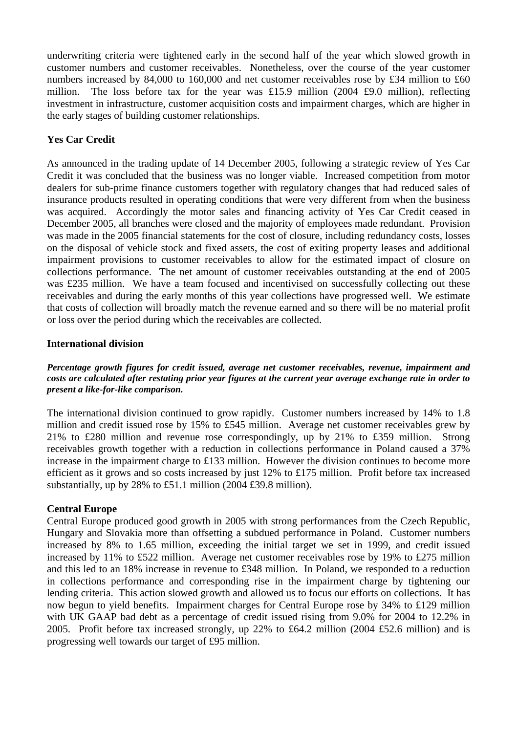underwriting criteria were tightened early in the second half of the year which slowed growth in customer numbers and customer receivables. Nonetheless, over the course of the year customer numbers increased by 84,000 to 160,000 and net customer receivables rose by £34 million to £60 million. The loss before tax for the year was £15.9 million (2004 £9.0 million), reflecting investment in infrastructure, customer acquisition costs and impairment charges, which are higher in the early stages of building customer relationships.

## **Yes Car Credit**

As announced in the trading update of 14 December 2005, following a strategic review of Yes Car Credit it was concluded that the business was no longer viable. Increased competition from motor dealers for sub-prime finance customers together with regulatory changes that had reduced sales of insurance products resulted in operating conditions that were very different from when the business was acquired. Accordingly the motor sales and financing activity of Yes Car Credit ceased in December 2005, all branches were closed and the majority of employees made redundant. Provision was made in the 2005 financial statements for the cost of closure, including redundancy costs, losses on the disposal of vehicle stock and fixed assets, the cost of exiting property leases and additional impairment provisions to customer receivables to allow for the estimated impact of closure on collections performance. The net amount of customer receivables outstanding at the end of 2005 was £235 million. We have a team focused and incentivised on successfully collecting out these receivables and during the early months of this year collections have progressed well. We estimate that costs of collection will broadly match the revenue earned and so there will be no material profit or loss over the period during which the receivables are collected.

### **International division**

*Percentage growth figures for credit issued, average net customer receivables, revenue, impairment and costs are calculated after restating prior year figures at the current year average exchange rate in order to present a like-for-like comparison.* 

The international division continued to grow rapidly. Customer numbers increased by 14% to 1.8 million and credit issued rose by 15% to £545 million. Average net customer receivables grew by 21% to £280 million and revenue rose correspondingly, up by 21% to £359 million. Strong receivables growth together with a reduction in collections performance in Poland caused a 37% increase in the impairment charge to £133 million. However the division continues to become more efficient as it grows and so costs increased by just 12% to £175 million. Profit before tax increased substantially, up by 28% to £51.1 million (2004 £39.8 million).

## **Central Europe**

Central Europe produced good growth in 2005 with strong performances from the Czech Republic, Hungary and Slovakia more than offsetting a subdued performance in Poland. Customer numbers increased by 8% to 1.65 million, exceeding the initial target we set in 1999, and credit issued increased by 11% to £522 million. Average net customer receivables rose by 19% to £275 million and this led to an 18% increase in revenue to £348 million. In Poland, we responded to a reduction in collections performance and corresponding rise in the impairment charge by tightening our lending criteria. This action slowed growth and allowed us to focus our efforts on collections. It has now begun to yield benefits. Impairment charges for Central Europe rose by 34% to £129 million with UK GAAP bad debt as a percentage of credit issued rising from 9.0% for 2004 to 12.2% in 2005. Profit before tax increased strongly, up 22% to £64.2 million (2004 £52.6 million) and is progressing well towards our target of £95 million.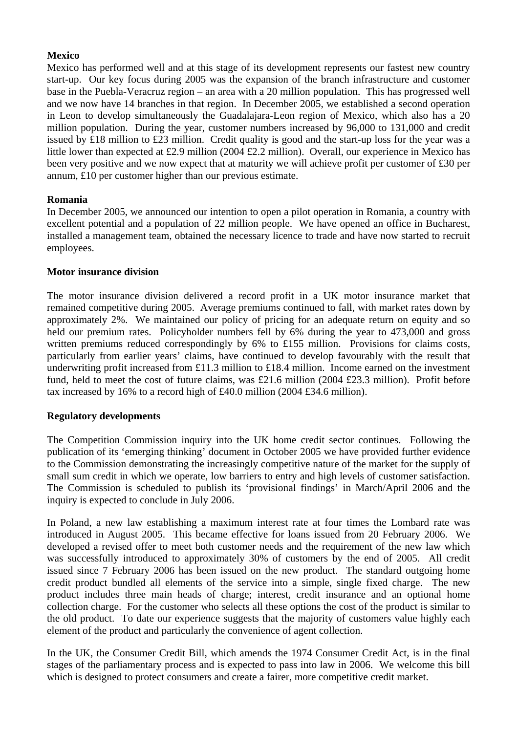### **Mexico**

Mexico has performed well and at this stage of its development represents our fastest new country start-up. Our key focus during 2005 was the expansion of the branch infrastructure and customer base in the Puebla-Veracruz region – an area with a 20 million population. This has progressed well and we now have 14 branches in that region. In December 2005, we established a second operation in Leon to develop simultaneously the Guadalajara-Leon region of Mexico, which also has a 20 million population. During the year, customer numbers increased by 96,000 to 131,000 and credit issued by £18 million to £23 million. Credit quality is good and the start-up loss for the year was a little lower than expected at £2.9 million (2004 £2.2 million). Overall, our experience in Mexico has been very positive and we now expect that at maturity we will achieve profit per customer of £30 per annum, £10 per customer higher than our previous estimate.

### **Romania**

In December 2005, we announced our intention to open a pilot operation in Romania, a country with excellent potential and a population of 22 million people. We have opened an office in Bucharest, installed a management team, obtained the necessary licence to trade and have now started to recruit employees.

### **Motor insurance division**

The motor insurance division delivered a record profit in a UK motor insurance market that remained competitive during 2005. Average premiums continued to fall, with market rates down by approximately 2%. We maintained our policy of pricing for an adequate return on equity and so held our premium rates. Policyholder numbers fell by 6% during the year to 473,000 and gross written premiums reduced correspondingly by 6% to £155 million. Provisions for claims costs, particularly from earlier years' claims, have continued to develop favourably with the result that underwriting profit increased from £11.3 million to £18.4 million. Income earned on the investment fund, held to meet the cost of future claims, was £21.6 million (2004 £23.3 million). Profit before tax increased by 16% to a record high of £40.0 million (2004 £34.6 million).

### **Regulatory developments**

The Competition Commission inquiry into the UK home credit sector continues. Following the publication of its 'emerging thinking' document in October 2005 we have provided further evidence to the Commission demonstrating the increasingly competitive nature of the market for the supply of small sum credit in which we operate, low barriers to entry and high levels of customer satisfaction. The Commission is scheduled to publish its 'provisional findings' in March/April 2006 and the inquiry is expected to conclude in July 2006.

In Poland, a new law establishing a maximum interest rate at four times the Lombard rate was introduced in August 2005. This became effective for loans issued from 20 February 2006. We developed a revised offer to meet both customer needs and the requirement of the new law which was successfully introduced to approximately 30% of customers by the end of 2005. All credit issued since 7 February 2006 has been issued on the new product. The standard outgoing home credit product bundled all elements of the service into a simple, single fixed charge. The new product includes three main heads of charge; interest, credit insurance and an optional home collection charge. For the customer who selects all these options the cost of the product is similar to the old product. To date our experience suggests that the majority of customers value highly each element of the product and particularly the convenience of agent collection.

In the UK, the Consumer Credit Bill, which amends the 1974 Consumer Credit Act, is in the final stages of the parliamentary process and is expected to pass into law in 2006. We welcome this bill which is designed to protect consumers and create a fairer, more competitive credit market.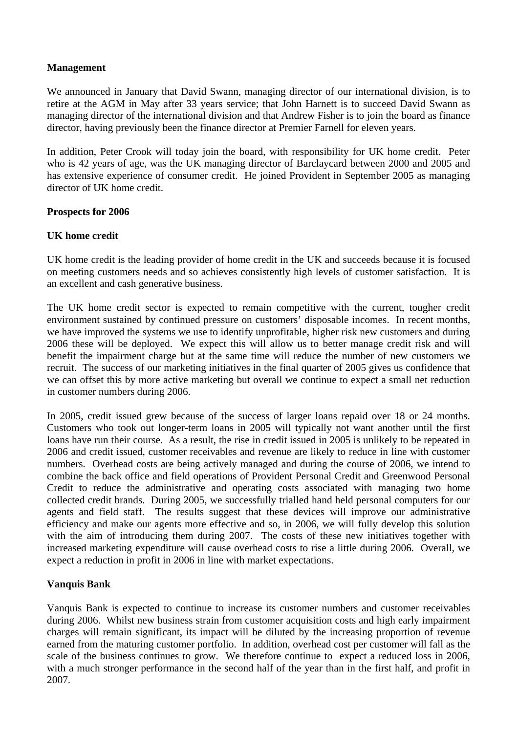## **Management**

We announced in January that David Swann, managing director of our international division, is to retire at the AGM in May after 33 years service; that John Harnett is to succeed David Swann as managing director of the international division and that Andrew Fisher is to join the board as finance director, having previously been the finance director at Premier Farnell for eleven years.

In addition, Peter Crook will today join the board, with responsibility for UK home credit. Peter who is 42 years of age, was the UK managing director of Barclaycard between 2000 and 2005 and has extensive experience of consumer credit. He joined Provident in September 2005 as managing director of UK home credit.

### **Prospects for 2006**

### **UK home credit**

UK home credit is the leading provider of home credit in the UK and succeeds because it is focused on meeting customers needs and so achieves consistently high levels of customer satisfaction. It is an excellent and cash generative business.

The UK home credit sector is expected to remain competitive with the current, tougher credit environment sustained by continued pressure on customers' disposable incomes. In recent months, we have improved the systems we use to identify unprofitable, higher risk new customers and during 2006 these will be deployed. We expect this will allow us to better manage credit risk and will benefit the impairment charge but at the same time will reduce the number of new customers we recruit. The success of our marketing initiatives in the final quarter of 2005 gives us confidence that we can offset this by more active marketing but overall we continue to expect a small net reduction in customer numbers during 2006.

In 2005, credit issued grew because of the success of larger loans repaid over 18 or 24 months. Customers who took out longer-term loans in 2005 will typically not want another until the first loans have run their course. As a result, the rise in credit issued in 2005 is unlikely to be repeated in 2006 and credit issued, customer receivables and revenue are likely to reduce in line with customer numbers. Overhead costs are being actively managed and during the course of 2006, we intend to combine the back office and field operations of Provident Personal Credit and Greenwood Personal Credit to reduce the administrative and operating costs associated with managing two home collected credit brands. During 2005, we successfully trialled hand held personal computers for our agents and field staff. The results suggest that these devices will improve our administrative efficiency and make our agents more effective and so, in 2006, we will fully develop this solution with the aim of introducing them during 2007. The costs of these new initiatives together with increased marketing expenditure will cause overhead costs to rise a little during 2006. Overall, we expect a reduction in profit in 2006 in line with market expectations.

## **Vanquis Bank**

Vanquis Bank is expected to continue to increase its customer numbers and customer receivables during 2006. Whilst new business strain from customer acquisition costs and high early impairment charges will remain significant, its impact will be diluted by the increasing proportion of revenue earned from the maturing customer portfolio. In addition, overhead cost per customer will fall as the scale of the business continues to grow. We therefore continue to expect a reduced loss in 2006, with a much stronger performance in the second half of the year than in the first half, and profit in 2007.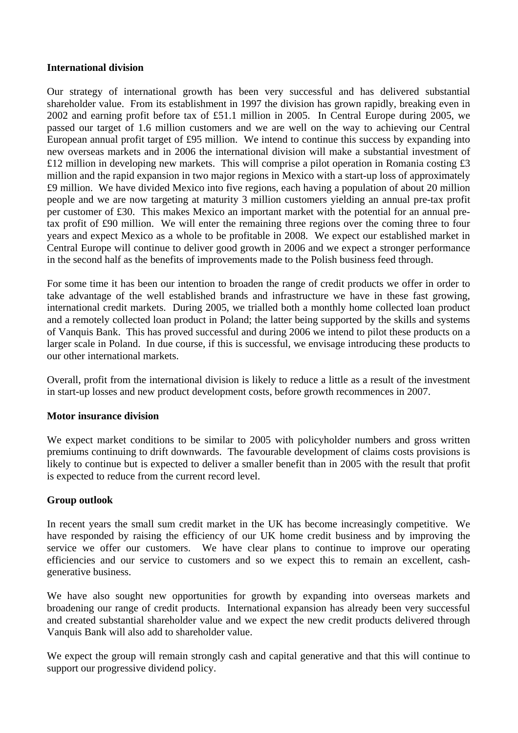### **International division**

Our strategy of international growth has been very successful and has delivered substantial shareholder value. From its establishment in 1997 the division has grown rapidly, breaking even in 2002 and earning profit before tax of £51.1 million in 2005. In Central Europe during 2005, we passed our target of 1.6 million customers and we are well on the way to achieving our Central European annual profit target of £95 million. We intend to continue this success by expanding into new overseas markets and in 2006 the international division will make a substantial investment of £12 million in developing new markets. This will comprise a pilot operation in Romania costing £3 million and the rapid expansion in two major regions in Mexico with a start-up loss of approximately £9 million. We have divided Mexico into five regions, each having a population of about 20 million people and we are now targeting at maturity 3 million customers yielding an annual pre-tax profit per customer of £30. This makes Mexico an important market with the potential for an annual pretax profit of £90 million. We will enter the remaining three regions over the coming three to four years and expect Mexico as a whole to be profitable in 2008. We expect our established market in Central Europe will continue to deliver good growth in 2006 and we expect a stronger performance in the second half as the benefits of improvements made to the Polish business feed through.

For some time it has been our intention to broaden the range of credit products we offer in order to take advantage of the well established brands and infrastructure we have in these fast growing, international credit markets. During 2005, we trialled both a monthly home collected loan product and a remotely collected loan product in Poland; the latter being supported by the skills and systems of Vanquis Bank. This has proved successful and during 2006 we intend to pilot these products on a larger scale in Poland. In due course, if this is successful, we envisage introducing these products to our other international markets.

Overall, profit from the international division is likely to reduce a little as a result of the investment in start-up losses and new product development costs, before growth recommences in 2007.

## **Motor insurance division**

We expect market conditions to be similar to 2005 with policyholder numbers and gross written premiums continuing to drift downwards. The favourable development of claims costs provisions is likely to continue but is expected to deliver a smaller benefit than in 2005 with the result that profit is expected to reduce from the current record level.

## **Group outlook**

In recent years the small sum credit market in the UK has become increasingly competitive. We have responded by raising the efficiency of our UK home credit business and by improving the service we offer our customers. We have clear plans to continue to improve our operating efficiencies and our service to customers and so we expect this to remain an excellent, cashgenerative business.

We have also sought new opportunities for growth by expanding into overseas markets and broadening our range of credit products. International expansion has already been very successful and created substantial shareholder value and we expect the new credit products delivered through Vanquis Bank will also add to shareholder value.

We expect the group will remain strongly cash and capital generative and that this will continue to support our progressive dividend policy.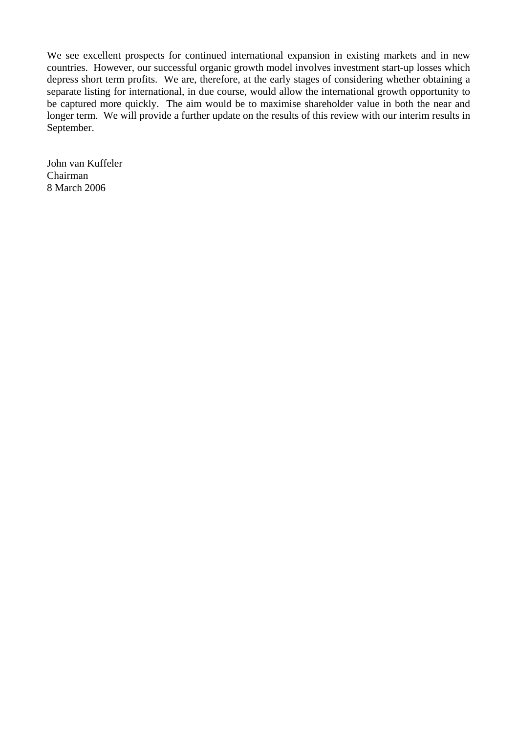We see excellent prospects for continued international expansion in existing markets and in new countries. However, our successful organic growth model involves investment start-up losses which depress short term profits. We are, therefore, at the early stages of considering whether obtaining a separate listing for international, in due course, would allow the international growth opportunity to be captured more quickly. The aim would be to maximise shareholder value in both the near and longer term. We will provide a further update on the results of this review with our interim results in September.

John van Kuffeler Chairman 8 March 2006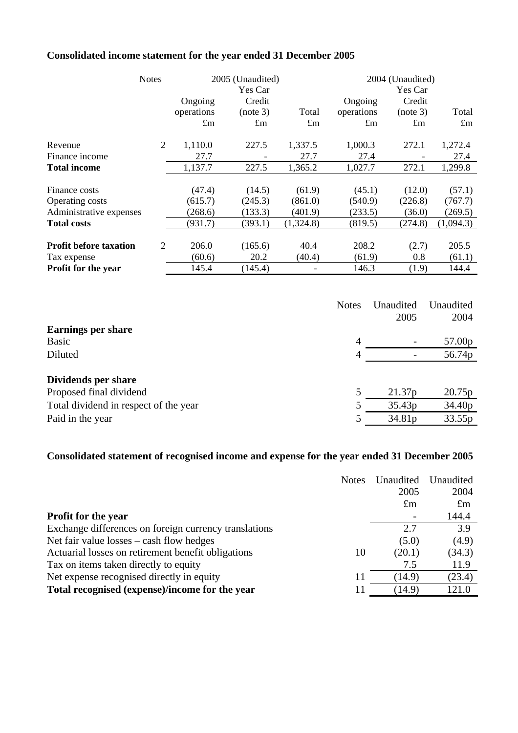|                               | <b>Notes</b>   |             | 2005 (Unaudited) |             |              | 2004 (Unaudited) |             |  |
|-------------------------------|----------------|-------------|------------------|-------------|--------------|------------------|-------------|--|
|                               |                |             | Yes Car          |             |              | Yes Car          |             |  |
|                               |                | Ongoing     | Credit           |             | Ongoing      | Credit           |             |  |
|                               |                | operations  | (note 3)         | Total       | operations   | (note 3)         | Total       |  |
|                               |                | $\pounds$ m | $\pounds$ m      | $\pounds$ m | $\pounds$ m  | $\pounds$ m      | $\pounds$ m |  |
| Revenue                       | $\overline{2}$ | 1,110.0     | 227.5            | 1,337.5     | 1,000.3      | 272.1            | 1,272.4     |  |
| Finance income                |                | 27.7        |                  | 27.7        | 27.4         |                  | 27.4        |  |
| <b>Total income</b>           |                | 1,137.7     | 227.5            | 1,365.2     | 1,027.7      | 272.1            | 1,299.8     |  |
| Finance costs                 |                | (47.4)      | (14.5)           | (61.9)      | (45.1)       | (12.0)           | (57.1)      |  |
| Operating costs               |                | (615.7)     | (245.3)          | (861.0)     | (540.9)      | (226.8)          | (767.7)     |  |
| Administrative expenses       |                | (268.6)     | (133.3)          | (401.9)     | (233.5)      | (36.0)           | (269.5)     |  |
| <b>Total costs</b>            |                | (931.7)     | (393.1)          | (1,324.8)   | (819.5)      | (274.8)          | (1,094.3)   |  |
| <b>Profit before taxation</b> | $\overline{2}$ | 206.0       | (165.6)          | 40.4        | 208.2        | (2.7)            | 205.5       |  |
| Tax expense                   |                | (60.6)      | 20.2             | (40.4)      | (61.9)       | 0.8              | (61.1)      |  |
| Profit for the year           |                | 145.4       | (145.4)          |             | 146.3        | (1.9)            | 144.4       |  |
|                               |                |             |                  |             |              |                  |             |  |
|                               |                |             |                  |             | <b>Notes</b> | Unaudited        | Unaudited   |  |
|                               |                |             |                  |             |              | 2005             | 2004        |  |

# **Consolidated income statement for the year ended 31 December 2005**

|                                       | <b>Notes</b> | Unaudited<br>2005  | Unaudited<br>2004  |
|---------------------------------------|--------------|--------------------|--------------------|
| <b>Earnings per share</b>             |              |                    |                    |
| Basic                                 | 4            |                    | 57.00 <sub>p</sub> |
| Diluted                               | 4            |                    | 56.74p             |
| Dividends per share                   |              |                    |                    |
| Proposed final dividend               |              | 21.37 <sub>p</sub> | 20.75 <sub>p</sub> |
| Total dividend in respect of the year |              | 35.43 <sub>p</sub> | 34.40 <sub>p</sub> |
| Paid in the year                      |              | 34.81p             | 33.55p             |
|                                       |              |                    |                    |

# **Consolidated statement of recognised income and expense for the year ended 31 December 2005**

|                                                       | <b>Notes</b> | Unaudited   | Unaudited   |
|-------------------------------------------------------|--------------|-------------|-------------|
|                                                       |              | 2005        | 2004        |
|                                                       |              | $\pounds$ m | $\pounds$ m |
| <b>Profit for the year</b>                            |              |             | 144.4       |
| Exchange differences on foreign currency translations |              | 2.7         | 3.9         |
| Net fair value $losses - cash flow$ hedges            |              | (5.0)       | (4.9)       |
| Actuarial losses on retirement benefit obligations    | 10           | (20.1)      | (34.3)      |
| Tax on items taken directly to equity                 |              | 7.5         | 11.9        |
| Net expense recognised directly in equity             | 11           | (14.9)      | (23.4)      |
| Total recognised (expense)/income for the year        | 11           | (14.9)      | 121.0       |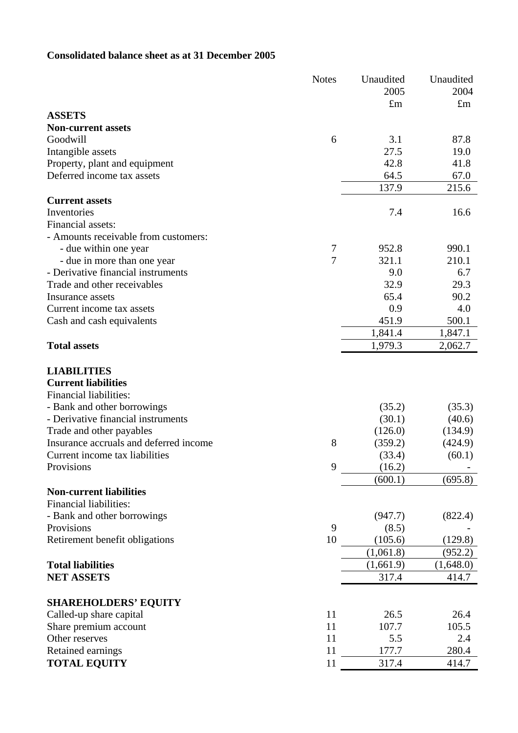## **Consolidated balance sheet as at 31 December 2005**

|                                        | <b>Notes</b>   | Unaudited   | Unaudited   |
|----------------------------------------|----------------|-------------|-------------|
|                                        |                | 2005        | 2004        |
|                                        |                | $\pounds$ m | $\pounds$ m |
| <b>ASSETS</b>                          |                |             |             |
| <b>Non-current assets</b>              |                |             |             |
| Goodwill                               | 6              | 3.1         | 87.8        |
| Intangible assets                      |                | 27.5        | 19.0        |
| Property, plant and equipment          |                | 42.8        | 41.8        |
| Deferred income tax assets             |                | 64.5        | 67.0        |
|                                        |                | 137.9       | 215.6       |
| <b>Current assets</b>                  |                |             |             |
| Inventories                            |                | 7.4         | 16.6        |
| Financial assets:                      |                |             |             |
| - Amounts receivable from customers:   |                |             |             |
| - due within one year                  | 7              | 952.8       | 990.1       |
| - due in more than one year            | $\overline{7}$ | 321.1       | 210.1       |
| - Derivative financial instruments     |                | 9.0         | 6.7         |
| Trade and other receivables            |                | 32.9        | 29.3        |
| Insurance assets                       |                | 65.4        | 90.2        |
| Current income tax assets              |                | 0.9         | 4.0         |
| Cash and cash equivalents              |                | 451.9       | 500.1       |
|                                        |                | 1,841.4     | 1,847.1     |
| <b>Total assets</b>                    |                | 1,979.3     | 2,062.7     |
|                                        |                |             |             |
| <b>LIABILITIES</b>                     |                |             |             |
| <b>Current liabilities</b>             |                |             |             |
| Financial liabilities:                 |                |             |             |
| - Bank and other borrowings            |                | (35.2)      | (35.3)      |
| - Derivative financial instruments     |                | (30.1)      | (40.6)      |
| Trade and other payables               |                | (126.0)     | (134.9)     |
| Insurance accruals and deferred income | 8              | (359.2)     | (424.9)     |
| Current income tax liabilities         |                | (33.4)      | (60.1)      |
| Provisions                             | 9              | (16.2)      |             |
|                                        |                | (600.1)     | (695.8)     |
| <b>Non-current liabilities</b>         |                |             |             |
| <b>Financial liabilities:</b>          |                |             |             |
| - Bank and other borrowings            |                | (947.7)     | (822.4)     |
| Provisions                             | 9              | (8.5)       |             |
| Retirement benefit obligations         | 10             | (105.6)     | (129.8)     |
|                                        |                | (1,061.8)   | (952.2)     |
| <b>Total liabilities</b>               |                | (1,661.9)   | (1,648.0)   |
| <b>NET ASSETS</b>                      |                | 317.4       | 414.7       |
| <b>SHAREHOLDERS' EQUITY</b>            |                |             |             |
| Called-up share capital                | 11             | 26.5        | 26.4        |
| Share premium account                  | 11             | 107.7       | 105.5       |
| Other reserves                         | 11             | 5.5         | 2.4         |
| Retained earnings                      | 11             | 177.7       | 280.4       |
| <b>TOTAL EQUITY</b>                    | 11             | 317.4       | 414.7       |
|                                        |                |             |             |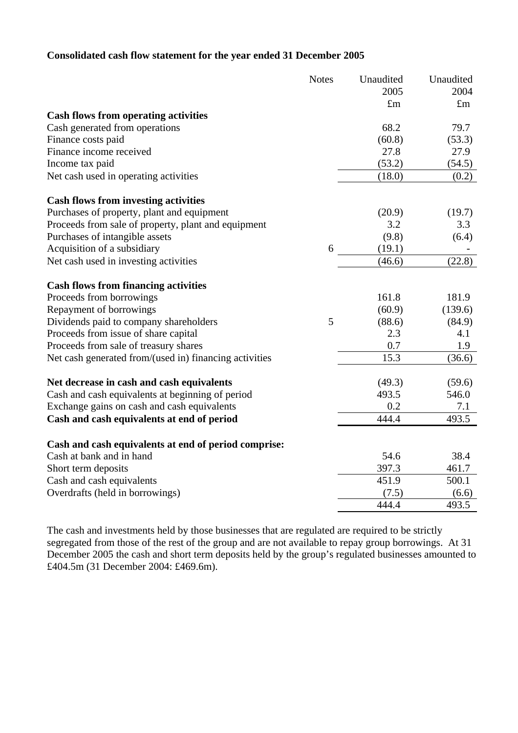## **Consolidated cash flow statement for the year ended 31 December 2005**

|                                                        | <b>Notes</b> | Unaudited   | Unaudited   |
|--------------------------------------------------------|--------------|-------------|-------------|
|                                                        |              | 2005        | 2004        |
|                                                        |              | $\pounds$ m | $\pounds$ m |
| <b>Cash flows from operating activities</b>            |              |             |             |
| Cash generated from operations                         |              | 68.2        | 79.7        |
| Finance costs paid                                     |              | (60.8)      | (53.3)      |
| Finance income received                                |              | 27.8        | 27.9        |
| Income tax paid                                        |              | (53.2)      | (54.5)      |
| Net cash used in operating activities                  |              | (18.0)      | (0.2)       |
| <b>Cash flows from investing activities</b>            |              |             |             |
| Purchases of property, plant and equipment             |              | (20.9)      | (19.7)      |
| Proceeds from sale of property, plant and equipment    |              | 3.2         | 3.3         |
| Purchases of intangible assets                         |              | (9.8)       | (6.4)       |
| Acquisition of a subsidiary                            | 6            | (19.1)      |             |
| Net cash used in investing activities                  |              | (46.6)      | (22.8)      |
| <b>Cash flows from financing activities</b>            |              |             |             |
| Proceeds from borrowings                               |              | 161.8       | 181.9       |
| Repayment of borrowings                                |              | (60.9)      | (139.6)     |
| Dividends paid to company shareholders                 | 5            | (88.6)      | (84.9)      |
| Proceeds from issue of share capital                   |              | 2.3         | 4.1         |
| Proceeds from sale of treasury shares                  |              | 0.7         | 1.9         |
| Net cash generated from/(used in) financing activities |              | 15.3        | (36.6)      |
| Net decrease in cash and cash equivalents              |              | (49.3)      | (59.6)      |
| Cash and cash equivalents at beginning of period       |              | 493.5       | 546.0       |
| Exchange gains on cash and cash equivalents            |              | 0.2         | 7.1         |
| Cash and cash equivalents at end of period             |              | 444.4       | 493.5       |
| Cash and cash equivalents at end of period comprise:   |              |             |             |
| Cash at bank and in hand                               |              | 54.6        | 38.4        |
| Short term deposits                                    |              | 397.3       | 461.7       |
| Cash and cash equivalents                              |              | 451.9       | 500.1       |
| Overdrafts (held in borrowings)                        |              | (7.5)       | (6.6)       |
|                                                        |              | 444.4       | 493.5       |

The cash and investments held by those businesses that are regulated are required to be strictly segregated from those of the rest of the group and are not available to repay group borrowings. At 31 December 2005 the cash and short term deposits held by the group's regulated businesses amounted to £404.5m (31 December 2004: £469.6m).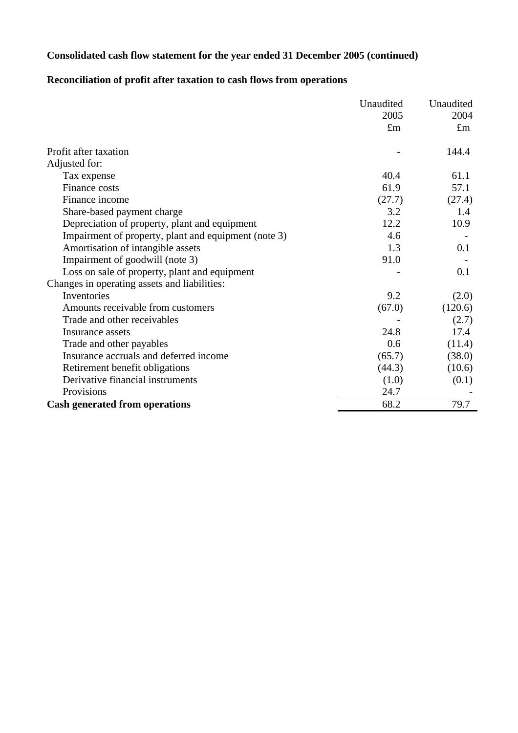# **Consolidated cash flow statement for the year ended 31 December 2005 (continued)**

# **Reconciliation of profit after taxation to cash flows from operations**

|                                                      | Unaudited   | Unaudited   |
|------------------------------------------------------|-------------|-------------|
|                                                      | 2005        | 2004        |
|                                                      | $\pounds$ m | $\pounds$ m |
| Profit after taxation                                |             | 144.4       |
| Adjusted for:                                        |             |             |
| Tax expense                                          | 40.4        | 61.1        |
| Finance costs                                        | 61.9        | 57.1        |
| Finance income                                       | (27.7)      | (27.4)      |
| Share-based payment charge                           | 3.2         | 1.4         |
| Depreciation of property, plant and equipment        | 12.2        | 10.9        |
| Impairment of property, plant and equipment (note 3) | 4.6         |             |
| Amortisation of intangible assets                    | 1.3         | 0.1         |
| Impairment of goodwill (note 3)                      | 91.0        |             |
| Loss on sale of property, plant and equipment        |             | 0.1         |
| Changes in operating assets and liabilities:         |             |             |
| Inventories                                          | 9.2         | (2.0)       |
| Amounts receivable from customers                    | (67.0)      | (120.6)     |
| Trade and other receivables                          |             | (2.7)       |
| Insurance assets                                     | 24.8        | 17.4        |
| Trade and other payables                             | 0.6         | (11.4)      |
| Insurance accruals and deferred income               | (65.7)      | (38.0)      |
| Retirement benefit obligations                       | (44.3)      | (10.6)      |
| Derivative financial instruments                     | (1.0)       | (0.1)       |
| Provisions                                           | 24.7        |             |
| <b>Cash generated from operations</b>                | 68.2        | 79.7        |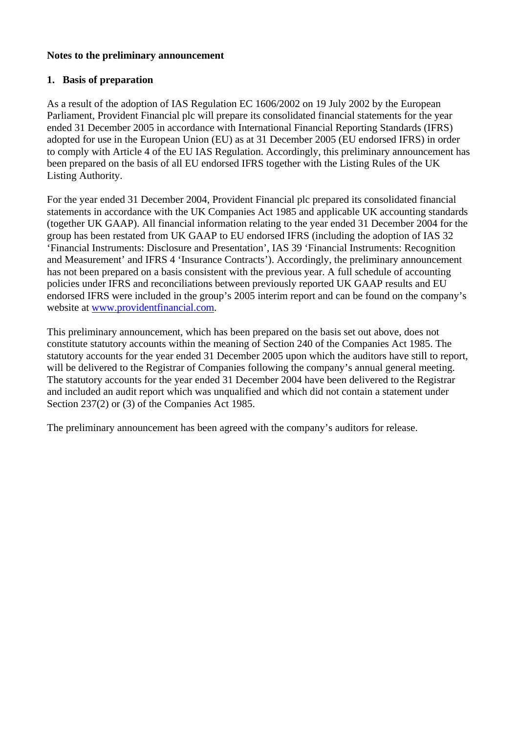### **Notes to the preliminary announcement**

## **1. Basis of preparation**

As a result of the adoption of IAS Regulation EC 1606/2002 on 19 July 2002 by the European Parliament, Provident Financial plc will prepare its consolidated financial statements for the year ended 31 December 2005 in accordance with International Financial Reporting Standards (IFRS) adopted for use in the European Union (EU) as at 31 December 2005 (EU endorsed IFRS) in order to comply with Article 4 of the EU IAS Regulation. Accordingly, this preliminary announcement has been prepared on the basis of all EU endorsed IFRS together with the Listing Rules of the UK Listing Authority.

For the year ended 31 December 2004, Provident Financial plc prepared its consolidated financial statements in accordance with the UK Companies Act 1985 and applicable UK accounting standards (together UK GAAP). All financial information relating to the year ended 31 December 2004 for the group has been restated from UK GAAP to EU endorsed IFRS (including the adoption of IAS 32 'Financial Instruments: Disclosure and Presentation', IAS 39 'Financial Instruments: Recognition and Measurement' and IFRS 4 'Insurance Contracts'). Accordingly, the preliminary announcement has not been prepared on a basis consistent with the previous year. A full schedule of accounting policies under IFRS and reconciliations between previously reported UK GAAP results and EU endorsed IFRS were included in the group's 2005 interim report and can be found on the company's website at www.providentfinancial.com.

This preliminary announcement, which has been prepared on the basis set out above, does not constitute statutory accounts within the meaning of Section 240 of the Companies Act 1985. The statutory accounts for the year ended 31 December 2005 upon which the auditors have still to report, will be delivered to the Registrar of Companies following the company's annual general meeting. The statutory accounts for the year ended 31 December 2004 have been delivered to the Registrar and included an audit report which was unqualified and which did not contain a statement under Section 237(2) or (3) of the Companies Act 1985.

The preliminary announcement has been agreed with the company's auditors for release.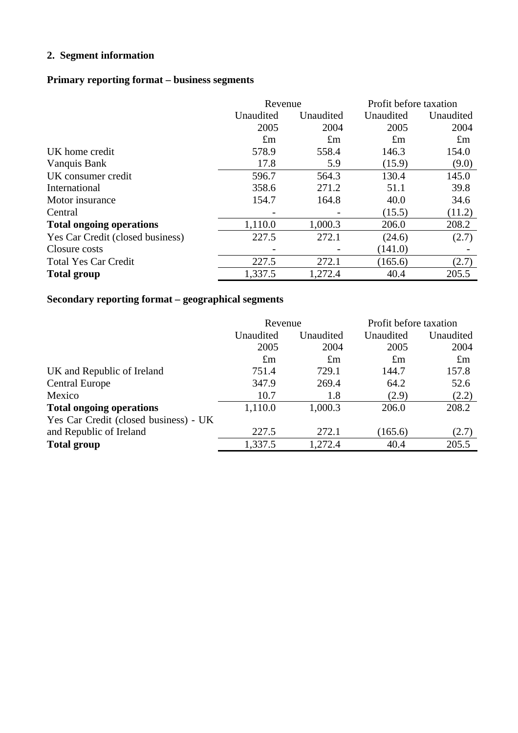# **2. Segment information**

# **Primary reporting format – business segments**

|                                  | Revenue     |             | Profit before taxation |             |  |
|----------------------------------|-------------|-------------|------------------------|-------------|--|
|                                  | Unaudited   | Unaudited   | Unaudited              | Unaudited   |  |
|                                  | 2005        | 2004        | 2005                   | 2004        |  |
|                                  | $\pounds$ m | $\pounds$ m | $\pounds$ m            | $\pounds$ m |  |
| UK home credit                   | 578.9       | 558.4       | 146.3                  | 154.0       |  |
| Vanquis Bank                     | 17.8        | 5.9         | (15.9)                 | (9.0)       |  |
| UK consumer credit               | 596.7       | 564.3       | 130.4                  | 145.0       |  |
| International                    | 358.6       | 271.2       | 51.1                   | 39.8        |  |
| Motor insurance                  | 154.7       | 164.8       | 40.0                   | 34.6        |  |
| Central                          |             |             | (15.5)                 | (11.2)      |  |
| <b>Total ongoing operations</b>  | 1,110.0     | 1,000.3     | 206.0                  | 208.2       |  |
| Yes Car Credit (closed business) | 227.5       | 272.1       | (24.6)                 | (2.7)       |  |
| Closure costs                    |             |             | (141.0)                |             |  |
| <b>Total Yes Car Credit</b>      | 227.5       | 272.1       | (165.6)                | (2.7)       |  |
| <b>Total group</b>               | 1,337.5     | 1,272.4     | 40.4                   | 205.5       |  |

# **Secondary reporting format – geographical segments**

|                                       | Revenue     |             | Profit before taxation |             |
|---------------------------------------|-------------|-------------|------------------------|-------------|
|                                       | Unaudited   | Unaudited   | Unaudited              | Unaudited   |
|                                       | 2005        | 2004        | 2005                   | 2004        |
|                                       | $\pounds$ m | $\pounds$ m | $\pounds$ m            | $\pounds$ m |
| UK and Republic of Ireland            | 751.4       | 729.1       | 144.7                  | 157.8       |
| <b>Central Europe</b>                 | 347.9       | 269.4       | 64.2                   | 52.6        |
| Mexico                                | 10.7        | 1.8         | (2.9)                  | (2.2)       |
| <b>Total ongoing operations</b>       | 1,110.0     | 1,000.3     | 206.0                  | 208.2       |
| Yes Car Credit (closed business) - UK |             |             |                        |             |
| and Republic of Ireland               | 227.5       | 272.1       | (165.6)                | (2.7)       |
| <b>Total group</b>                    | 1,337.5     | 1,272.4     | 40.4                   | 205.5       |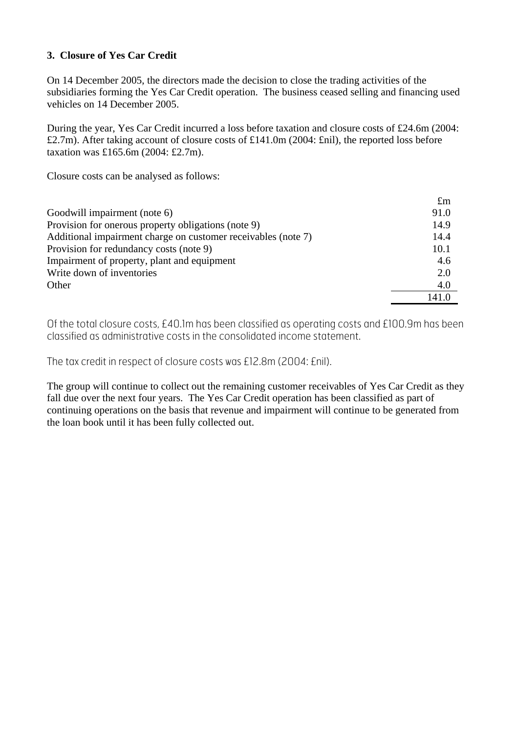## **3. Closure of Yes Car Credit**

On 14 December 2005, the directors made the decision to close the trading activities of the subsidiaries forming the Yes Car Credit operation. The business ceased selling and financing used vehicles on 14 December 2005.

During the year, Yes Car Credit incurred a loss before taxation and closure costs of £24.6m (2004: £2.7m). After taking account of closure costs of £141.0m (2004: £nil), the reported loss before taxation was £165.6m (2004: £2.7m).

Closure costs can be analysed as follows:

|                                                               | $\pounds$ m |
|---------------------------------------------------------------|-------------|
| Goodwill impairment (note 6)                                  | 91.0        |
| Provision for onerous property obligations (note 9)           | 14.9        |
| Additional impairment charge on customer receivables (note 7) | 14.4        |
| Provision for redundancy costs (note 9)                       | 10.1        |
| Impairment of property, plant and equipment                   | 4.6         |
| Write down of inventories                                     | 2.0         |
| Other                                                         | 4.0         |
|                                                               | 141.0       |

Of the total closure costs, £40.1m has been classified as operating costs and £100.9m has been classified as administrative costs in the consolidated income statement.

The tax credit in respect of closure costs was £12.8m (2004: £nil).

The group will continue to collect out the remaining customer receivables of Yes Car Credit as they fall due over the next four years. The Yes Car Credit operation has been classified as part of continuing operations on the basis that revenue and impairment will continue to be generated from the loan book until it has been fully collected out.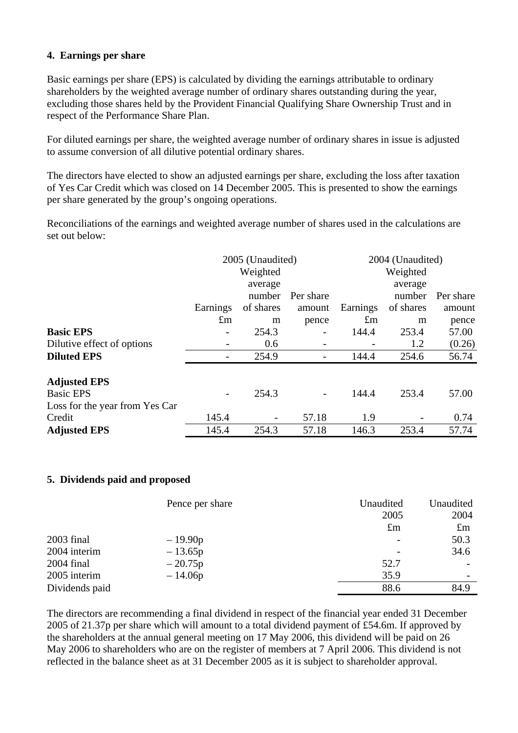### **4. Earnings per share**

Basic earnings per share (EPS) is calculated by dividing the earnings attributable to ordinary shareholders by the weighted average number of ordinary shares outstanding during the year, excluding those shares held by the Provident Financial Qualifying Share Ownership Trust and in respect of the Performance Share Plan.

For diluted earnings per share, the weighted average number of ordinary shares in issue is adjusted to assume conversion of all dilutive potential ordinary shares.

The directors have elected to show an adjusted earnings per share, excluding the loss after taxation of Yes Car Credit which was closed on 14 December 2005. This is presented to show the earnings per share generated by the group's ongoing operations.

Reconciliations of the earnings and weighted average number of shares used in the calculations are set out below:

|                                | 2005 (Unaudited) |           |                          | 2004 (Unaudited) |           |           |
|--------------------------------|------------------|-----------|--------------------------|------------------|-----------|-----------|
|                                |                  | Weighted  |                          | Weighted         |           |           |
|                                |                  | average   |                          |                  | average   |           |
|                                |                  | number    | Per share                |                  | number    | Per share |
|                                | Earnings         | of shares | amount                   | Earnings         | of shares | amount    |
|                                | $\pounds$ m      | m         | pence                    | $\pounds$ m      | m         | pence     |
| <b>Basic EPS</b>               | -                | 254.3     |                          | 144.4            | 253.4     | 57.00     |
| Dilutive effect of options     |                  | 0.6       | $\overline{\phantom{a}}$ |                  | 1.2       | (0.26)    |
| <b>Diluted EPS</b>             |                  | 254.9     |                          | 144.4            | 254.6     | 56.74     |
| <b>Adjusted EPS</b>            |                  |           |                          |                  |           |           |
| <b>Basic EPS</b>               |                  | 254.3     |                          | 144.4            | 253.4     | 57.00     |
| Loss for the year from Yes Car |                  |           |                          |                  |           |           |
| Credit                         | 145.4            |           | 57.18                    | 1.9              |           | 0.74      |
| <b>Adjusted EPS</b>            | 145.4            | 254.3     | 57.18                    | 146.3            | 253.4     | 57.74     |

### **5. Dividends paid and proposed**

|                | Pence per share | Unaudited   | Unaudited   |
|----------------|-----------------|-------------|-------------|
|                |                 | 2005        | 2004        |
|                |                 | $\pounds$ m | $\pounds$ m |
| $2003$ final   | $-19.90p$       |             | 50.3        |
| 2004 interim   | $-13.65p$       |             | 34.6        |
| $2004$ final   | $-20.75p$       | 52.7        |             |
| 2005 interim   | $-14.06p$       | 35.9        |             |
| Dividends paid |                 | 88.6        | 84.9        |

The directors are recommending a final dividend in respect of the financial year ended 31 December 2005 of 21.37p per share which will amount to a total dividend payment of £54.6m. If approved by the shareholders at the annual general meeting on 17 May 2006, this dividend will be paid on 26 May 2006 to shareholders who are on the register of members at 7 April 2006. This dividend is not reflected in the balance sheet as at 31 December 2005 as it is subject to shareholder approval.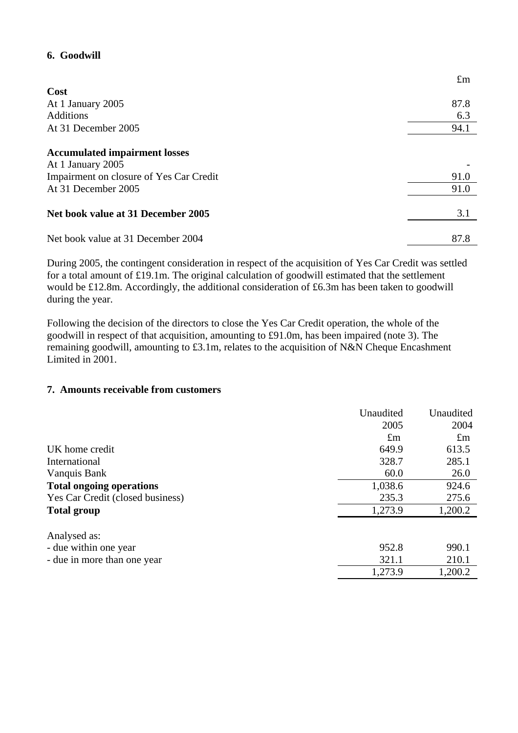### **6. Goodwill**

|                                         | $\pounds$ m |
|-----------------------------------------|-------------|
| Cost                                    |             |
| At 1 January 2005                       | 87.8        |
| <b>Additions</b>                        | 6.3         |
| At 31 December 2005                     | 94.1        |
|                                         |             |
| <b>Accumulated impairment losses</b>    |             |
| At 1 January 2005                       |             |
| Impairment on closure of Yes Car Credit | 91.0        |
| At 31 December 2005                     | 91.0        |
|                                         |             |
| Net book value at 31 December 2005      | 3.1         |
|                                         |             |
| Net book value at 31 December 2004      | 87.8        |

During 2005, the contingent consideration in respect of the acquisition of Yes Car Credit was settled for a total amount of £19.1m. The original calculation of goodwill estimated that the settlement would be £12.8m. Accordingly, the additional consideration of £6.3m has been taken to goodwill during the year.

Following the decision of the directors to close the Yes Car Credit operation, the whole of the goodwill in respect of that acquisition, amounting to £91.0m, has been impaired (note 3). The remaining goodwill, amounting to £3.1m, relates to the acquisition of N&N Cheque Encashment Limited in 2001.

### **7. Amounts receivable from customers**

|                                  | Unaudited   | Unaudited   |
|----------------------------------|-------------|-------------|
|                                  | 2005        | 2004        |
|                                  | $\pounds$ m | $\pounds$ m |
| UK home credit                   | 649.9       | 613.5       |
| International                    | 328.7       | 285.1       |
| Vanquis Bank                     | 60.0        | 26.0        |
| <b>Total ongoing operations</b>  | 1,038.6     | 924.6       |
| Yes Car Credit (closed business) | 235.3       | 275.6       |
| <b>Total group</b>               | 1,273.9     | 1,200.2     |
| Analysed as:                     |             |             |
| - due within one year            | 952.8       | 990.1       |
| - due in more than one year      | 321.1       | 210.1       |
|                                  | 1,273.9     | 1,200.2     |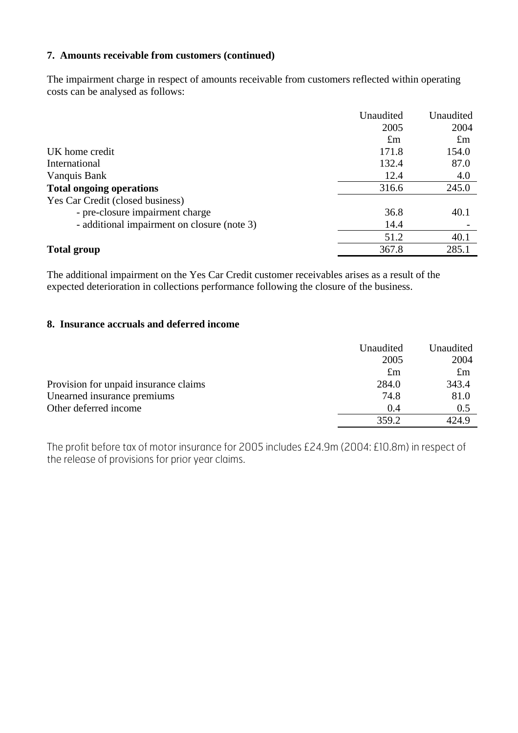### **7. Amounts receivable from customers (continued)**

The impairment charge in respect of amounts receivable from customers reflected within operating costs can be analysed as follows:

|                                             | Unaudited   | Unaudited   |
|---------------------------------------------|-------------|-------------|
|                                             | 2005        | 2004        |
|                                             | $\pounds$ m | $\pounds$ m |
| UK home credit                              | 171.8       | 154.0       |
| International                               | 132.4       | 87.0        |
| Vanquis Bank                                | 12.4        | 4.0         |
| <b>Total ongoing operations</b>             | 316.6       | 245.0       |
| Yes Car Credit (closed business)            |             |             |
| - pre-closure impairment charge             | 36.8        | 40.1        |
| - additional impairment on closure (note 3) | 14.4        |             |
|                                             | 51.2        | 40.1        |
| <b>Total group</b>                          | 367.8       | 285.1       |

The additional impairment on the Yes Car Credit customer receivables arises as a result of the expected deterioration in collections performance following the closure of the business.

## **8. Insurance accruals and deferred income**

|                                       | Unaudited | Unaudited   |
|---------------------------------------|-----------|-------------|
|                                       | 2005      | 2004        |
|                                       | £m        | $\pounds$ m |
| Provision for unpaid insurance claims | 284.0     | 343.4       |
| Unearned insurance premiums           | 74.8      | 81.0        |
| Other deferred income                 | 0.4       | 0.5         |
|                                       | 359.2     | 424.9       |

The profit before tax of motor insurance for 2005 includes £24.9m (2004: £10.8m) in respect of the release of provisions for prior year claims.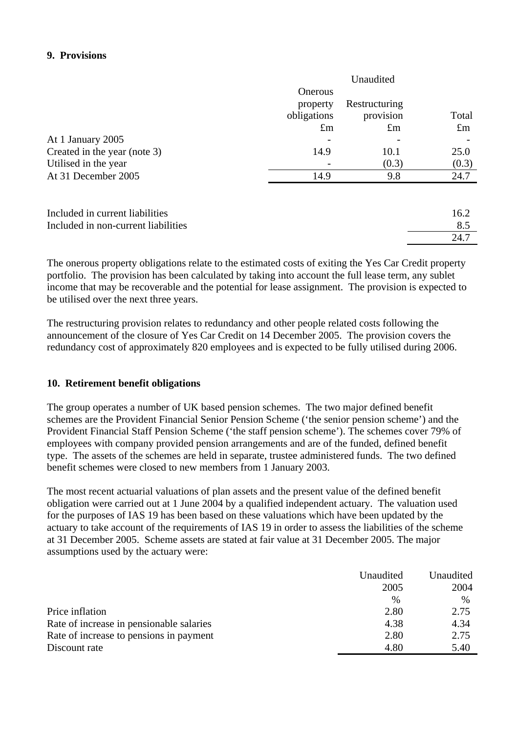### **9. Provisions**

|                                                                        | Unaudited                                         |                                           |                      |  |  |
|------------------------------------------------------------------------|---------------------------------------------------|-------------------------------------------|----------------------|--|--|
|                                                                        | Onerous<br>property<br>obligations<br>$\pounds$ m | Restructuring<br>provision<br>$\pounds$ m | Total<br>$\pounds$ m |  |  |
| At 1 January 2005                                                      |                                                   |                                           |                      |  |  |
| Created in the year (note 3)                                           | 14.9                                              | 10.1                                      | 25.0                 |  |  |
| Utilised in the year                                                   |                                                   | (0.3)                                     | (0.3)                |  |  |
| At 31 December 2005                                                    | 14.9                                              | 9.8                                       | 24.7                 |  |  |
| Included in current liabilities<br>Included in non-current liabilities |                                                   |                                           | 16.2<br>8.5          |  |  |
|                                                                        |                                                   |                                           | 24.7                 |  |  |

The onerous property obligations relate to the estimated costs of exiting the Yes Car Credit property portfolio. The provision has been calculated by taking into account the full lease term, any sublet income that may be recoverable and the potential for lease assignment. The provision is expected to be utilised over the next three years.

The restructuring provision relates to redundancy and other people related costs following the announcement of the closure of Yes Car Credit on 14 December 2005. The provision covers the redundancy cost of approximately 820 employees and is expected to be fully utilised during 2006.

## **10. Retirement benefit obligations**

The group operates a number of UK based pension schemes. The two major defined benefit schemes are the Provident Financial Senior Pension Scheme ('the senior pension scheme') and the Provident Financial Staff Pension Scheme ('the staff pension scheme'). The schemes cover 79% of employees with company provided pension arrangements and are of the funded, defined benefit type. The assets of the schemes are held in separate, trustee administered funds. The two defined benefit schemes were closed to new members from 1 January 2003.

The most recent actuarial valuations of plan assets and the present value of the defined benefit obligation were carried out at 1 June 2004 by a qualified independent actuary. The valuation used for the purposes of IAS 19 has been based on these valuations which have been updated by the actuary to take account of the requirements of IAS 19 in order to assess the liabilities of the scheme at 31 December 2005. Scheme assets are stated at fair value at 31 December 2005. The major assumptions used by the actuary were:

|                                          | Unaudited     | Unaudited |
|------------------------------------------|---------------|-----------|
|                                          | 2005          | 2004      |
|                                          | $\frac{0}{0}$ | $\%$      |
| Price inflation                          | 2.80          | 2.75      |
| Rate of increase in pensionable salaries | 4.38          | 4.34      |
| Rate of increase to pensions in payment  | 2.80          | 2.75      |
| Discount rate                            | 4.80          | 5.40      |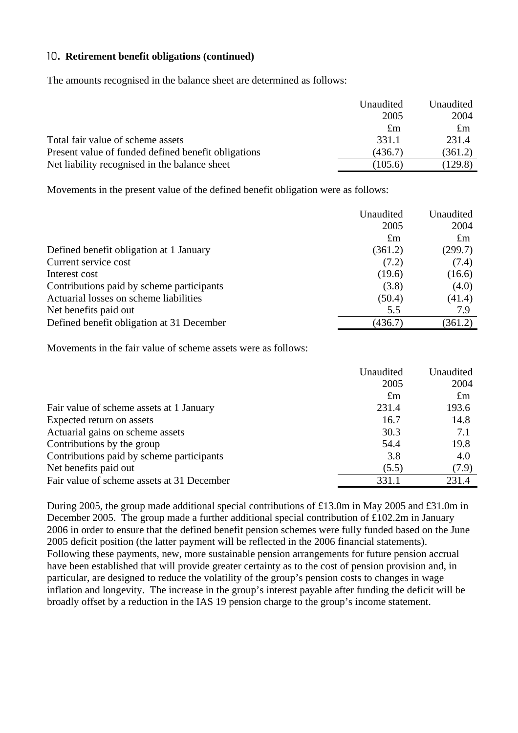### 10**. Retirement benefit obligations (continued)**

The amounts recognised in the balance sheet are determined as follows:

|                                                     | Unaudited   | Unaudited   |
|-----------------------------------------------------|-------------|-------------|
|                                                     | 2005        | 2004        |
|                                                     | $\pounds$ m | $\pounds$ m |
| Total fair value of scheme assets                   | 331.1       | 231.4       |
| Present value of funded defined benefit obligations | (436.7)     | (361.2)     |
| Net liability recognised in the balance sheet       | (105.6)     | (129.8)     |

Movements in the present value of the defined benefit obligation were as follows:

|                                           | Unaudited   | Unaudited   |
|-------------------------------------------|-------------|-------------|
|                                           | 2005        | 2004        |
|                                           | $\pounds$ m | $\pounds$ m |
| Defined benefit obligation at 1 January   | (361.2)     | (299.7)     |
| Current service cost                      | (7.2)       | (7.4)       |
| Interest cost                             | (19.6)      | (16.6)      |
| Contributions paid by scheme participants | (3.8)       | (4.0)       |
| Actuarial losses on scheme liabilities    | (50.4)      | (41.4)      |
| Net benefits paid out                     | 5.5         | 7.9         |
| Defined benefit obligation at 31 December | (436.7)     | (361.2)     |

Movements in the fair value of scheme assets were as follows:

|                                            | Unaudited   | Unaudited   |
|--------------------------------------------|-------------|-------------|
|                                            | 2005        | 2004        |
|                                            | $\pounds$ m | $\pounds$ m |
| Fair value of scheme assets at 1 January   | 231.4       | 193.6       |
| Expected return on assets                  | 16.7        | 14.8        |
| Actuarial gains on scheme assets           | 30.3        | 7.1         |
| Contributions by the group                 | 54.4        | 19.8        |
| Contributions paid by scheme participants  | 3.8         | 4.0         |
| Net benefits paid out                      | (5.5)       | (7.9)       |
| Fair value of scheme assets at 31 December | 331.1       | 231.4       |

During 2005, the group made additional special contributions of £13.0m in May 2005 and £31.0m in December 2005. The group made a further additional special contribution of £102.2m in January 2006 in order to ensure that the defined benefit pension schemes were fully funded based on the June 2005 deficit position (the latter payment will be reflected in the 2006 financial statements). Following these payments, new, more sustainable pension arrangements for future pension accrual have been established that will provide greater certainty as to the cost of pension provision and, in particular, are designed to reduce the volatility of the group's pension costs to changes in wage inflation and longevity. The increase in the group's interest payable after funding the deficit will be broadly offset by a reduction in the IAS 19 pension charge to the group's income statement.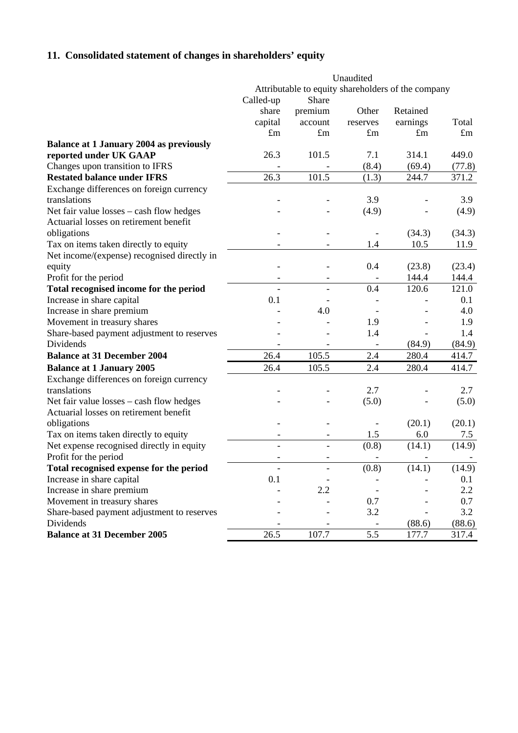# **11. Consolidated statement of changes in shareholders' equity**

|                                                |                                                    | Unaudited   |                          |             |             |
|------------------------------------------------|----------------------------------------------------|-------------|--------------------------|-------------|-------------|
|                                                | Attributable to equity shareholders of the company |             |                          |             |             |
|                                                | Called-up                                          | Share       |                          |             |             |
|                                                | share                                              | premium     | Other                    | Retained    |             |
|                                                | capital                                            | account     | reserves                 | earnings    | Total       |
|                                                | $\pounds$ m                                        | $\pounds$ m | $\pounds$ m              | $\pounds$ m | $\pounds$ m |
| <b>Balance at 1 January 2004 as previously</b> |                                                    |             |                          |             |             |
| reported under UK GAAP                         | 26.3                                               | 101.5       | 7.1                      | 314.1       | 449.0       |
| Changes upon transition to IFRS                |                                                    |             | (8.4)                    | (69.4)      | (77.8)      |
| <b>Restated balance under IFRS</b>             | 26.3                                               | 101.5       | (1.3)                    | 244.7       | 371.2       |
| Exchange differences on foreign currency       |                                                    |             |                          |             |             |
| translations                                   |                                                    |             | 3.9                      |             | 3.9         |
| Net fair value losses – cash flow hedges       |                                                    |             | (4.9)                    |             | (4.9)       |
| Actuarial losses on retirement benefit         |                                                    |             |                          |             |             |
| obligations                                    |                                                    |             |                          | (34.3)      | (34.3)      |
| Tax on items taken directly to equity          |                                                    |             | 1.4                      | 10.5        | 11.9        |
| Net income/(expense) recognised directly in    |                                                    |             |                          |             |             |
| equity                                         |                                                    |             | 0.4                      | (23.8)      | (23.4)      |
| Profit for the period                          |                                                    |             |                          | 144.4       | 144.4       |
| Total recognised income for the period         |                                                    |             | 0.4                      | 120.6       | 121.0       |
| Increase in share capital                      | 0.1                                                |             |                          |             | 0.1         |
| Increase in share premium                      |                                                    | 4.0         |                          |             | 4.0         |
| Movement in treasury shares                    |                                                    |             | 1.9                      |             | 1.9         |
| Share-based payment adjustment to reserves     |                                                    |             | 1.4                      |             | 1.4         |
| Dividends                                      |                                                    |             | $\overline{\phantom{a}}$ | (84.9)      | (84.9)      |
| <b>Balance at 31 December 2004</b>             | 26.4                                               | 105.5       | 2.4                      | 280.4       | 414.7       |
| <b>Balance at 1 January 2005</b>               | 26.4                                               | 105.5       | 2.4                      | 280.4       | 414.7       |
| Exchange differences on foreign currency       |                                                    |             |                          |             |             |
| translations                                   |                                                    |             | 2.7                      |             | 2.7         |
| Net fair value losses – cash flow hedges       |                                                    |             | (5.0)                    |             | (5.0)       |
| Actuarial losses on retirement benefit         |                                                    |             |                          |             |             |
| obligations                                    |                                                    |             |                          | (20.1)      | (20.1)      |
| Tax on items taken directly to equity          |                                                    |             | 1.5                      | 6.0         | 7.5         |
| Net expense recognised directly in equity      |                                                    |             | (0.8)                    | (14.1)      | (14.9)      |
| Profit for the period                          |                                                    |             | $\overline{\phantom{a}}$ |             |             |
| Total recognised expense for the period        |                                                    |             | (0.8)                    | (14.1)      | (14.9)      |
| Increase in share capital                      | 0.1                                                |             |                          |             | 0.1         |
| Increase in share premium                      |                                                    | 2.2         |                          |             | 2.2         |
| Movement in treasury shares                    |                                                    |             | 0.7                      |             | 0.7         |
| Share-based payment adjustment to reserves     |                                                    |             | 3.2                      |             | 3.2         |
| Dividends                                      |                                                    |             |                          | (88.6)      | (88.6)      |
| <b>Balance at 31 December 2005</b>             | 26.5                                               | 107.7       | 5.5                      | 177.7       | 317.4       |
|                                                |                                                    |             |                          |             |             |